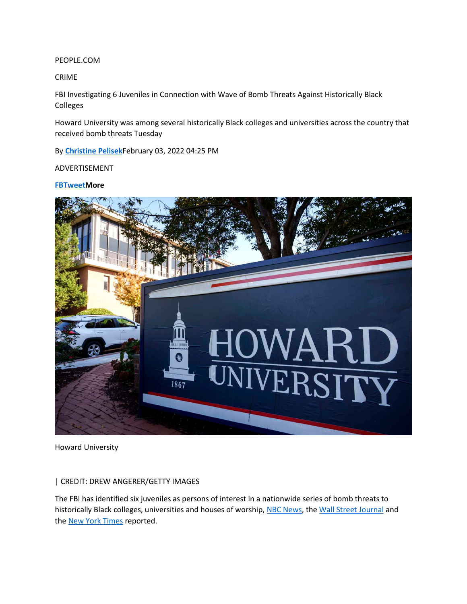PEOPLE.COM

CRIME

FBI Investigating 6 Juveniles in Connection with Wave of Bomb Threats Against Historically Black Colleges

Howard University was among several historically Black colleges and universities across the country that received bomb threats Tuesday

By **[Christine Pelisek](https://people.com/author/christine-pelisek/)**February 03, 2022 04:25 PM

ADVERTISEMENT

**[FB](https://www.facebook.com/sharer/sharer.php?u=https://people.com/crime/fbi-investigating-6-juveniles-in-connection-with-wave-of-bomb-threats-against-historically-black-colleges/%3Futm_source=facebook.com%26utm_medium=social%26utm_campaign=social-share-article%26utm_content=20220216)[TweetM](https://www.twitter.com/intent/tweet?text=FBI%20Investigating%206%20Juveniles%20in%20Connection%20with%20Wave%20of%20Bomb%20Thr...https://people.com/crime/fbi-investigating-6-juveniles-in-connection-with-wave-of-bomb-threats-against-historically-black-colleges/%3Futm_source=twitter.com%26utm_medium=social%26utm_campaign=social-share-article)ore**



Howard University

#### | CREDIT: DREW ANGERER/GETTY IMAGES

The FBI has identified six juveniles as persons of interest in a nationwide series of bomb threats to historically Black colleges, universities and houses of worship, [NBC News,](https://www.nbcnews.com/news/us-news/six-juveniles-identified-fbi-persons-interests-bomb-threats-historical-rcna14591) the [Wall Street Journal](https://www.nbcnews.com/news/us-news/six-juveniles-identified-fbi-persons-interests-bomb-threats-historical-rcna14591) and the [New York Times](https://www.nytimes.com/2022/02/02/us/hbcu-bomb-threats.html) reported.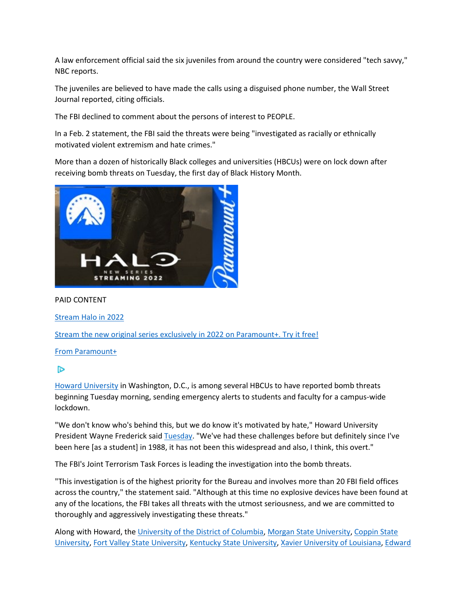A law enforcement official said the six juveniles from around the country were considered "tech savvy," NBC reports.

The juveniles are believed to have made the calls using a disguised phone number, the Wall Street Journal reported, citing officials.

The FBI declined to comment about the persons of interest to PEOPLE.

In a Feb. 2 statement, the FBI said the threats were being "investigated as racially or ethnically motivated violent extremism and hate crimes."

More than a dozen of historically Black colleges and universities (HBCUs) were on lock down after receiving bomb threats on Tuesday, the first day of Black History Month.



### PAID CONTENT

[Stream Halo in 2022](https://eb2.3lift.com/pass?tl_clickthrough=true&redir=https%3A%2F%2Fgoogleads.g.doubleclick.net%2Fdbm%2Fclk%3Fsa%3DL%26ai%3DCH0Zucm0MYtb1MOPCo9kPxIOfmAfgqITFZ5y59I_lDsgvEAEgvb75bigCYMmGo4fUo4AQoAHk39vpAsgBBqgDAaoE2QFP0LLFz86u-3g_NWZRIPSqoUEOzDIaDjoKRG4hnVSNFAS1lu7I6Kvx9nCDWmOXtDK6oYw6eNxWt1pJOPvnRmPZDg2WJ41LqK-6lt-99VzTHpcLSqMJZrIKKbRbniiLmkvwRhUgTkdO6kcwg7-wRCEr43gsW7g68Gfkt27IApgDzNrreih32-aL57-kdYOwbBfUkRH4mRCrcjhaPYeZ_wuYKeS7XWhrReeYbMNX4gl-Pym1WzbgRvc8aBS5IHPt2GPUpFUXb_OutP_FqHuCrtCRwfmHqHlooY23wASXoIe-1gPgBAOQBgGgBjeAB4SgpJYBqAeOzhuoB5PYG6gH7paxAqgH_p6xAqgHpKOxAqgH1ckbqAemvhuoB_PRG6gHltgbqAeqm7ECqAffn7EC2AcB0ggHCIBhEAEYHfIIDGJpZGRlci0zNTc0MrEJVtg9-nC2zvOACgSYCwHICwGwE5SAoA7QEwDYEw3YFAHQFQGYFgH4FgGAFwE%26num%3D1%26cid%3DCAASEuRoPgQpCjXPrnbGDTB9eHNnwQ%26sig%3DAOD64_1d5Cwjdh66inc4jzO1eMshThokwA%26client%3Dca-pub-3380684538404130%26dbm_c%3DAKAmf-AOsSnLK3qN2SaO-Utl5wGjrVE91gDzRltvaXH_S6r5EA4wp0QQucn7hUDFHUXL9mdep5gkUa3gabBYuz1ApWPGyZ8OHw%26dbm_d%3DAKAmf-ApLet7bfJe1FEpnRGGqKoJG8xU9nwle7fbRxrUE2zaj3lHTXtzxKEvhTb-00cgHkA4wDS4Dl6Ej_Rz2qtzgQQ4kmA8fOj6UoAt22hNXaHfO8eVzhwXXrL_kvjh3GOf3UinbXxXnn4jtHxKrNo5NdIT6D2akmWGwteGp8UrWXBhS78ScEzCZG6dWtUIxzSNIs1DX5F9%26adurl%3Dhttps%3A%2F%2Fwww.paramountplus.com%2F%3Fcbscidmt%3Doriginals%26ftag%3DPPM-20-10bab6d&ss=0&bc=0.963&pr=%24%7BAUCTION_PRICE%7D&adid=398516826&brid=556687&bmid=5989&biid=5989&aid=5974373471935524486630&tid=10622009&bcud=963&sid=104987&ts=1644981618&cb=97428)

[Stream the new original series exclusively in 2022 on Paramount+. Try it free!](https://eb2.3lift.com/pass?tl_clickthrough=true&redir=https%3A%2F%2Fgoogleads.g.doubleclick.net%2Fdbm%2Fclk%3Fsa%3DL%26ai%3DCH0Zucm0MYtb1MOPCo9kPxIOfmAfgqITFZ5y59I_lDsgvEAEgvb75bigCYMmGo4fUo4AQoAHk39vpAsgBBqgDAaoE2QFP0LLFz86u-3g_NWZRIPSqoUEOzDIaDjoKRG4hnVSNFAS1lu7I6Kvx9nCDWmOXtDK6oYw6eNxWt1pJOPvnRmPZDg2WJ41LqK-6lt-99VzTHpcLSqMJZrIKKbRbniiLmkvwRhUgTkdO6kcwg7-wRCEr43gsW7g68Gfkt27IApgDzNrreih32-aL57-kdYOwbBfUkRH4mRCrcjhaPYeZ_wuYKeS7XWhrReeYbMNX4gl-Pym1WzbgRvc8aBS5IHPt2GPUpFUXb_OutP_FqHuCrtCRwfmHqHlooY23wASXoIe-1gPgBAOQBgGgBjeAB4SgpJYBqAeOzhuoB5PYG6gH7paxAqgH_p6xAqgHpKOxAqgH1ckbqAemvhuoB_PRG6gHltgbqAeqm7ECqAffn7EC2AcB0ggHCIBhEAEYHfIIDGJpZGRlci0zNTc0MrEJVtg9-nC2zvOACgSYCwHICwGwE5SAoA7QEwDYEw3YFAHQFQGYFgH4FgGAFwE%26num%3D1%26cid%3DCAASEuRoPgQpCjXPrnbGDTB9eHNnwQ%26sig%3DAOD64_1d5Cwjdh66inc4jzO1eMshThokwA%26client%3Dca-pub-3380684538404130%26dbm_c%3DAKAmf-AOsSnLK3qN2SaO-Utl5wGjrVE91gDzRltvaXH_S6r5EA4wp0QQucn7hUDFHUXL9mdep5gkUa3gabBYuz1ApWPGyZ8OHw%26dbm_d%3DAKAmf-ApLet7bfJe1FEpnRGGqKoJG8xU9nwle7fbRxrUE2zaj3lHTXtzxKEvhTb-00cgHkA4wDS4Dl6Ej_Rz2qtzgQQ4kmA8fOj6UoAt22hNXaHfO8eVzhwXXrL_kvjh3GOf3UinbXxXnn4jtHxKrNo5NdIT6D2akmWGwteGp8UrWXBhS78ScEzCZG6dWtUIxzSNIs1DX5F9%26adurl%3Dhttps%3A%2F%2Fwww.paramountplus.com%2F%3Fcbscidmt%3Doriginals%26ftag%3DPPM-20-10bab6d&ss=0&bc=0.963&pr=%24%7BAUCTION_PRICE%7D&adid=398516826&brid=556687&bmid=5989&biid=5989&aid=5974373471935524486630&tid=10622009&bcud=963&sid=104987&ts=1644981618&cb=97428)

#### From [Paramount+](https://eb2.3lift.com/pass?tl_clickthrough=true&redir=https%3A%2F%2Fgoogleads.g.doubleclick.net%2Fdbm%2Fclk%3Fsa%3DL%26ai%3DCH0Zucm0MYtb1MOPCo9kPxIOfmAfgqITFZ5y59I_lDsgvEAEgvb75bigCYMmGo4fUo4AQoAHk39vpAsgBBqgDAaoE2QFP0LLFz86u-3g_NWZRIPSqoUEOzDIaDjoKRG4hnVSNFAS1lu7I6Kvx9nCDWmOXtDK6oYw6eNxWt1pJOPvnRmPZDg2WJ41LqK-6lt-99VzTHpcLSqMJZrIKKbRbniiLmkvwRhUgTkdO6kcwg7-wRCEr43gsW7g68Gfkt27IApgDzNrreih32-aL57-kdYOwbBfUkRH4mRCrcjhaPYeZ_wuYKeS7XWhrReeYbMNX4gl-Pym1WzbgRvc8aBS5IHPt2GPUpFUXb_OutP_FqHuCrtCRwfmHqHlooY23wASXoIe-1gPgBAOQBgGgBjeAB4SgpJYBqAeOzhuoB5PYG6gH7paxAqgH_p6xAqgHpKOxAqgH1ckbqAemvhuoB_PRG6gHltgbqAeqm7ECqAffn7EC2AcB0ggHCIBhEAEYHfIIDGJpZGRlci0zNTc0MrEJVtg9-nC2zvOACgSYCwHICwGwE5SAoA7QEwDYEw3YFAHQFQGYFgH4FgGAFwE%26num%3D1%26cid%3DCAASEuRoPgQpCjXPrnbGDTB9eHNnwQ%26sig%3DAOD64_1d5Cwjdh66inc4jzO1eMshThokwA%26client%3Dca-pub-3380684538404130%26dbm_c%3DAKAmf-AOsSnLK3qN2SaO-Utl5wGjrVE91gDzRltvaXH_S6r5EA4wp0QQucn7hUDFHUXL9mdep5gkUa3gabBYuz1ApWPGyZ8OHw%26dbm_d%3DAKAmf-ApLet7bfJe1FEpnRGGqKoJG8xU9nwle7fbRxrUE2zaj3lHTXtzxKEvhTb-00cgHkA4wDS4Dl6Ej_Rz2qtzgQQ4kmA8fOj6UoAt22hNXaHfO8eVzhwXXrL_kvjh3GOf3UinbXxXnn4jtHxKrNo5NdIT6D2akmWGwteGp8UrWXBhS78ScEzCZG6dWtUIxzSNIs1DX5F9%26adurl%3Dhttps%3A%2F%2Fwww.paramountplus.com%2F%3Fcbscidmt%3Doriginals%26ftag%3DPPM-20-10bab6d&ss=0&bc=0.963&pr=%24%7BAUCTION_PRICE%7D&adid=398516826&brid=556687&bmid=5989&biid=5989&aid=5974373471935524486630&tid=10622009&bcud=963&sid=104987&ts=1644981618&cb=97428)

# D

[Howard University](https://twitter.com/HowardU/status/1488489854065332224?s=20&t=pp5PqIm87tPmIsombdm0eA) in Washington, D.C., is among several HBCUs to have reported bomb threats beginning Tuesday morning, sending emergency alerts to students and faculty for a campus-wide lockdown.

"We don't know who's behind this, but we do know it's motivated by hate," Howard University President Wayne Frederick said [Tuesday.](https://twitter.com/CNNSitRoom/status/1488663096025657348?s=20&t=pp5PqIm87tPmIsombdm0eA) "We've had these challenges before but definitely since I've been here [as a student] in 1988, it has not been this widespread and also, I think, this overt."

The FBI's Joint Terrorism Task Forces is leading the investigation into the bomb threats.

"This investigation is of the highest priority for the Bureau and involves more than 20 FBI field offices across the country," the statement said. "Although at this time no explosive devices have been found at any of the locations, the FBI takes all threats with the utmost seriousness, and we are committed to thoroughly and aggressively investigating these threats."

Along with Howard, the [University of the District of Columbia,](https://twitter.com/udc_edu/status/1488541883412488199?s=20&t=HEWB-YTHAc8C5JoRoF7KoQ) [Morgan State University,](https://twitter.com/MorganStateU/status/1488503587936387072?s=20&t=Ge9w4c6Kw5_ppBG_ZhAN5w) [Coppin State](https://twitter.com/CoppinStateUniv/status/1488581988974010368?s=20&t=Ge9w4c6Kw5_ppBG_ZhAN5w)  [University,](https://twitter.com/CoppinStateUniv/status/1488581988974010368?s=20&t=Ge9w4c6Kw5_ppBG_ZhAN5w) [Fort Valley State University,](https://twitter.com/FVSU/status/1488593789090418695?s=20&t=Ge9w4c6Kw5_ppBG_ZhAN5w) [Kentucky State University,](https://twitter.com/KyStateU/status/1488499121745022985?s=20&t=Ge9w4c6Kw5_ppBG_ZhAN5w) [Xavier University of Louisiana,](https://twitter.com/XULA1925/status/1488572903088132097?s=20&t=Ge9w4c6Kw5_ppBG_ZhAN5w) [Edward](https://twitter.com/ewctigers/status/1488617300504817669?s=20&t=Ge9w4c6Kw5_ppBG_ZhAN5w)